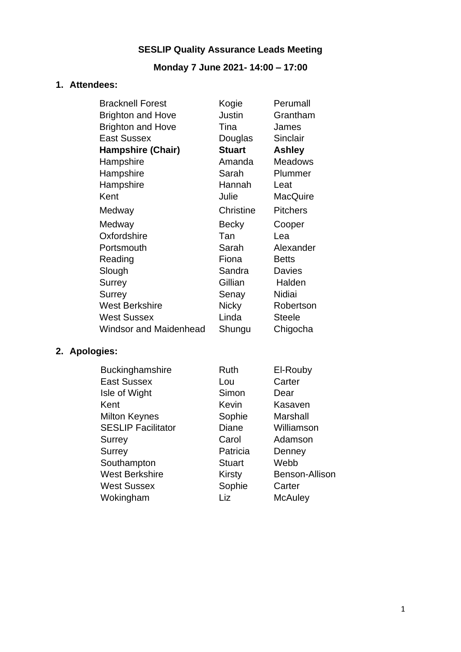# **SESLIP Quality Assurance Leads Meeting**

# **Monday 7 June 2021- 14:00 – 17:00**

# **1. Attendees:**

| <b>Bracknell Forest</b>  | Kogie         | Perumall        |
|--------------------------|---------------|-----------------|
| <b>Brighton and Hove</b> | Justin        | Grantham        |
| <b>Brighton and Hove</b> | Tina          | James           |
| <b>East Sussex</b>       | Douglas       | <b>Sinclair</b> |
| <b>Hampshire (Chair)</b> | <b>Stuart</b> | <b>Ashley</b>   |
| Hampshire                | Amanda        | <b>Meadows</b>  |
| Hampshire                | Sarah         | Plummer         |
| Hampshire                | Hannah        | Leat            |
| Kent                     | Julie         | <b>MacQuire</b> |
| Medway                   | Christine     | <b>Pitchers</b> |
|                          |               |                 |
| Medway                   | Becky         | Cooper          |
| Oxfordshire              | Tan           | Lea             |
| Portsmouth               | Sarah         | Alexander       |
| Reading                  | Fiona         | <b>Betts</b>    |
| Slough                   | Sandra        | Davies          |
| Surrey                   | Gillian       | Halden          |
| <b>Surrey</b>            | Senay         | Nidiai          |
| <b>West Berkshire</b>    | <b>Nicky</b>  | Robertson       |
| <b>West Sussex</b>       | Linda         | <b>Steele</b>   |

# **2. Apologies:**

| <b>Buckinghamshire</b>    | Ruth          | El-Rouby              |
|---------------------------|---------------|-----------------------|
| <b>East Sussex</b>        | Lou           | Carter                |
| Isle of Wight             | Simon         | Dear                  |
| Kent                      | Kevin         | Kasaven               |
| <b>Milton Keynes</b>      | Sophie        | Marshall              |
| <b>SESLIP Facilitator</b> | Diane         | Williamson            |
| Surrey                    | Carol         | Adamson               |
| Surrey                    | Patricia      | Denney                |
| Southampton               | <b>Stuart</b> | Webb                  |
| West Berkshire            | Kirsty        | <b>Benson-Allison</b> |
| West Sussex               | Sophie        | Carter                |
| Wokingham                 | Liz           | <b>McAuley</b>        |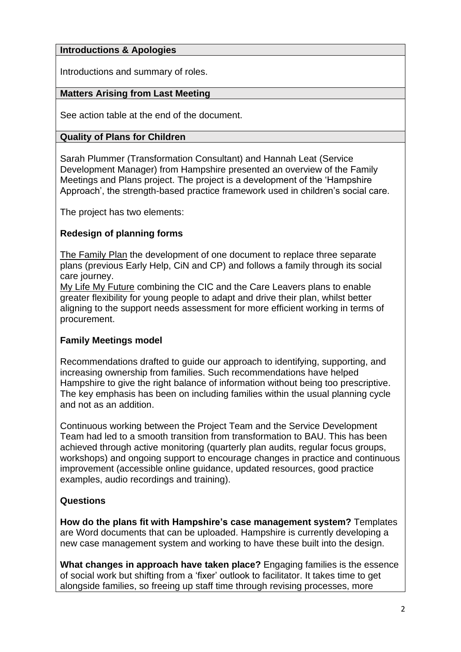# **Introductions & Apologies**

Introductions and summary of roles.

### **Matters Arising from Last Meeting**

See action table at the end of the document.

### **Quality of Plans for Children**

Sarah Plummer (Transformation Consultant) and Hannah Leat (Service Development Manager) from Hampshire presented an overview of the Family Meetings and Plans project. The project is a development of the 'Hampshire Approach', the strength-based practice framework used in children's social care.

The project has two elements:

# **Redesign of planning forms**

The Family Plan the development of one document to replace three separate plans (previous Early Help, CiN and CP) and follows a family through its social care journey.

My Life My Future combining the CIC and the Care Leavers plans to enable greater flexibility for young people to adapt and drive their plan, whilst better aligning to the support needs assessment for more efficient working in terms of procurement.

### **Family Meetings model**

Recommendations drafted to guide our approach to identifying, supporting, and increasing ownership from families. Such recommendations have helped Hampshire to give the right balance of information without being too prescriptive. The key emphasis has been on including families within the usual planning cycle and not as an addition.

Continuous working between the Project Team and the Service Development Team had led to a smooth transition from transformation to BAU. This has been achieved through active monitoring (quarterly plan audits, regular focus groups, workshops) and ongoing support to encourage changes in practice and continuous improvement (accessible online guidance, updated resources, good practice examples, audio recordings and training).

# **Questions**

**How do the plans fit with Hampshire's case management system?** Templates are Word documents that can be uploaded. Hampshire is currently developing a new case management system and working to have these built into the design.

**What changes in approach have taken place?** Engaging families is the essence of social work but shifting from a 'fixer' outlook to facilitator. It takes time to get alongside families, so freeing up staff time through revising processes, more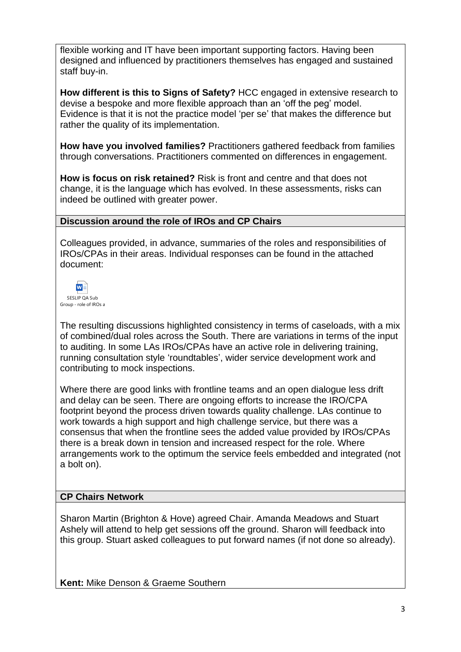flexible working and IT have been important supporting factors. Having been designed and influenced by practitioners themselves has engaged and sustained staff buy-in.

**How different is this to Signs of Safety?** HCC engaged in extensive research to devise a bespoke and more flexible approach than an 'off the peg' model. Evidence is that it is not the practice model 'per se' that makes the difference but rather the quality of its implementation.

**How have you involved families?** Practitioners gathered feedback from families through conversations. Practitioners commented on differences in engagement.

**How is focus on risk retained?** Risk is front and centre and that does not change, it is the language which has evolved. In these assessments, risks can indeed be outlined with greater power.

# **Discussion around the role of IROs and CP Chairs**

Colleagues provided, in advance, summaries of the roles and responsibilities of IROs/CPAs in their areas. Individual responses can be found in the attached document:



The resulting discussions highlighted consistency in terms of caseloads, with a mix of combined/dual roles across the South. There are variations in terms of the input to auditing. In some LAs IROs/CPAs have an active role in delivering training, running consultation style 'roundtables', wider service development work and contributing to mock inspections.

Where there are good links with frontline teams and an open dialogue less drift and delay can be seen. There are ongoing efforts to increase the IRO/CPA footprint beyond the process driven towards quality challenge. LAs continue to work towards a high support and high challenge service, but there was a consensus that when the frontline sees the added value provided by IROs/CPAs there is a break down in tension and increased respect for the role. Where arrangements work to the optimum the service feels embedded and integrated (not a bolt on).

# **CP Chairs Network**

Sharon Martin (Brighton & Hove) agreed Chair. Amanda Meadows and Stuart Ashely will attend to help get sessions off the ground. Sharon will feedback into this group. Stuart asked colleagues to put forward names (if not done so already).

**Kent:** Mike Denson & Graeme Southern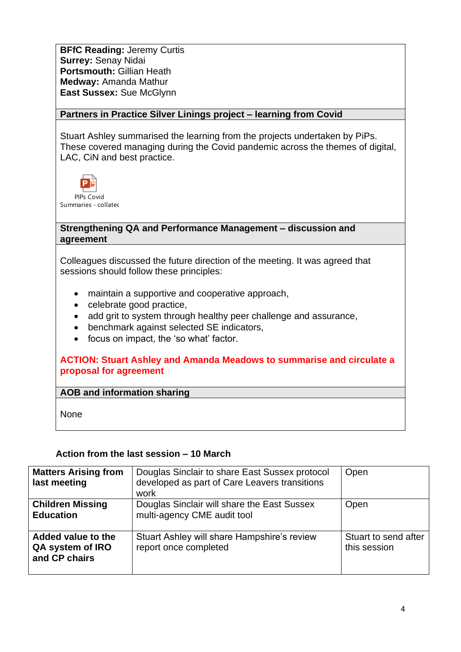**BFfC Reading:** Jeremy Curtis **Surrey:** Senay Nidai **Portsmouth:** Gillian Heath **Medway:** Amanda Mathur **East Sussex:** Sue McGlynn

### **Partners in Practice Silver Linings project – learning from Covid**

Stuart Ashley summarised the learning from the projects undertaken by PiPs. These covered managing during the Covid pandemic across the themes of digital, LAC, CiN and best practice.



#### **Strengthening QA and Performance Management – discussion and agreement**

Colleagues discussed the future direction of the meeting. It was agreed that sessions should follow these principles:

- maintain a supportive and cooperative approach,
- celebrate good practice,
- add grit to system through healthy peer challenge and assurance,
- benchmark against selected SE indicators,
- focus on impact, the 'so what' factor.

#### **ACTION: Stuart Ashley and Amanda Meadows to summarise and circulate a proposal for agreement**

#### **AOB and information sharing**

None

#### **Action from the last session – 10 March**

| <b>Matters Arising from</b><br>last meeting             | Douglas Sinclair to share East Sussex protocol<br>developed as part of Care Leavers transitions<br>work | Open                                 |
|---------------------------------------------------------|---------------------------------------------------------------------------------------------------------|--------------------------------------|
| <b>Children Missing</b><br><b>Education</b>             | Douglas Sinclair will share the East Sussex<br>multi-agency CME audit tool                              | Open                                 |
| Added value to the<br>QA system of IRO<br>and CP chairs | Stuart Ashley will share Hampshire's review<br>report once completed                                    | Stuart to send after<br>this session |